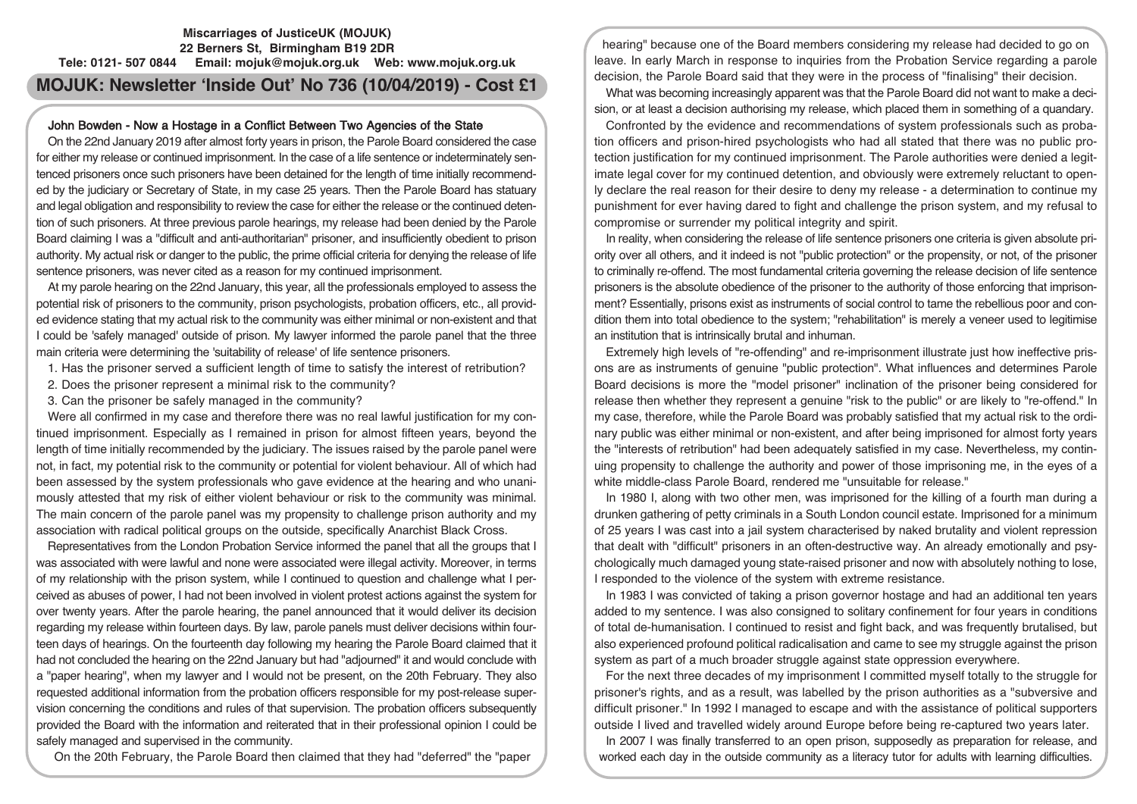## **Miscarriages of JusticeUK (MOJUK) 22 Berners St, Birmingham B19 2DR Tele: 0121- 507 0844 Email: mojuk@mojuk.org.uk Web: www.mojuk.org.uk**

# **MOJUK: Newsletter 'Inside Out' No 736 (10/04/2019) - Cost £1**

## John Bowden - Now a Hostage in a Conflict Between Two Agencies of the State

On the 22nd January 2019 after almost forty years in prison, the Parole Board considered the case for either my release or continued imprisonment. In the case of a life sentence or indeterminately sentenced prisoners once such prisoners have been detained for the length of time initially recommended by the judiciary or Secretary of State, in my case 25 years. Then the Parole Board has statuary and legal obligation and responsibility to review the case for either the release or the continued detention of such prisoners. At three previous parole hearings, my release had been denied by the Parole Board claiming I was a "difficult and anti-authoritarian" prisoner, and insufficiently obedient to prison authority. My actual risk or danger to the public, the prime official criteria for denying the release of life sentence prisoners, was never cited as a reason for my continued imprisonment.

At my parole hearing on the 22nd January, this year, all the professionals employed to assess the potential risk of prisoners to the community, prison psychologists, probation officers, etc., all provided evidence stating that my actual risk to the community was either minimal or non-existent and that I could be 'safely managed' outside of prison. My lawyer informed the parole panel that the three main criteria were determining the 'suitability of release' of life sentence prisoners.

- 1. Has the prisoner served a sufficient length of time to satisfy the interest of retribution?
- 2. Does the prisoner represent a minimal risk to the community?
- 3. Can the prisoner be safely managed in the community?

Were all confirmed in my case and therefore there was no real lawful justification for my continued imprisonment. Especially as I remained in prison for almost fifteen years, beyond the length of time initially recommended by the judiciary. The issues raised by the parole panel were not, in fact, my potential risk to the community or potential for violent behaviour. All of which had been assessed by the system professionals who gave evidence at the hearing and who unanimously attested that my risk of either violent behaviour or risk to the community was minimal. The main concern of the parole panel was my propensity to challenge prison authority and my association with radical political groups on the outside, specifically Anarchist Black Cross.

Representatives from the London Probation Service informed the panel that all the groups that I was associated with were lawful and none were associated were illegal activity. Moreover, in terms of my relationship with the prison system, while I continued to question and challenge what I perceived as abuses of power, I had not been involved in violent protest actions against the system for over twenty years. After the parole hearing, the panel announced that it would deliver its decision regarding my release within fourteen days. By law, parole panels must deliver decisions within fourteen days of hearings. On the fourteenth day following my hearing the Parole Board claimed that it had not concluded the hearing on the 22nd January but had "adjourned" it and would conclude with a "paper hearing", when my lawyer and I would not be present, on the 20th February. They also requested additional information from the probation officers responsible for my post-release supervision concerning the conditions and rules of that supervision. The probation officers subsequently provided the Board with the information and reiterated that in their professional opinion I could be safely managed and supervised in the community.

On the 20th February, the Parole Board then claimed that they had "deferred" the "paper

hearing" because one of the Board members considering my release had decided to go on leave. In early March in response to inquiries from the Probation Service regarding a parole decision, the Parole Board said that they were in the process of "finalising" their decision.

What was becoming increasingly apparent was that the Parole Board did not want to make a decision, or at least a decision authorising my release, which placed them in something of a quandary.

Confronted by the evidence and recommendations of system professionals such as probation officers and prison-hired psychologists who had all stated that there was no public protection justification for my continued imprisonment. The Parole authorities were denied a legitimate legal cover for my continued detention, and obviously were extremely reluctant to openly declare the real reason for their desire to deny my release - a determination to continue my punishment for ever having dared to fight and challenge the prison system, and my refusal to compromise or surrender my political integrity and spirit.

In reality, when considering the release of life sentence prisoners one criteria is given absolute priority over all others, and it indeed is not "public protection" or the propensity, or not, of the prisoner to criminally re-offend. The most fundamental criteria governing the release decision of life sentence prisoners is the absolute obedience of the prisoner to the authority of those enforcing that imprisonment? Essentially, prisons exist as instruments of social control to tame the rebellious poor and condition them into total obedience to the system; "rehabilitation" is merely a veneer used to legitimise an institution that is intrinsically brutal and inhuman.

Extremely high levels of "re-offending" and re-imprisonment illustrate just how ineffective prisons are as instruments of genuine "public protection". What influences and determines Parole Board decisions is more the "model prisoner" inclination of the prisoner being considered for release then whether they represent a genuine "risk to the public" or are likely to "re-offend." In my case, therefore, while the Parole Board was probably satisfied that my actual risk to the ordinary public was either minimal or non-existent, and after being imprisoned for almost forty years the "interests of retribution" had been adequately satisfied in my case. Nevertheless, my continuing propensity to challenge the authority and power of those imprisoning me, in the eyes of a white middle-class Parole Board, rendered me "unsuitable for release."

In 1980 I, along with two other men, was imprisoned for the killing of a fourth man during a drunken gathering of petty criminals in a South London council estate. Imprisoned for a minimum of 25 years I was cast into a jail system characterised by naked brutality and violent repression that dealt with "difficult" prisoners in an often-destructive way. An already emotionally and psychologically much damaged young state-raised prisoner and now with absolutely nothing to lose, I responded to the violence of the system with extreme resistance.

In 1983 I was convicted of taking a prison governor hostage and had an additional ten years added to my sentence. I was also consigned to solitary confinement for four years in conditions of total de-humanisation. I continued to resist and fight back, and was frequently brutalised, but also experienced profound political radicalisation and came to see my struggle against the prison system as part of a much broader struggle against state oppression everywhere.

For the next three decades of my imprisonment I committed myself totally to the struggle for prisoner's rights, and as a result, was labelled by the prison authorities as a "subversive and difficult prisoner." In 1992 I managed to escape and with the assistance of political supporters outside I lived and travelled widely around Europe before being re-captured two years later.

In 2007 I was finally transferred to an open prison, supposedly as preparation for release, and worked each day in the outside community as a literacy tutor for adults with learning difficulties.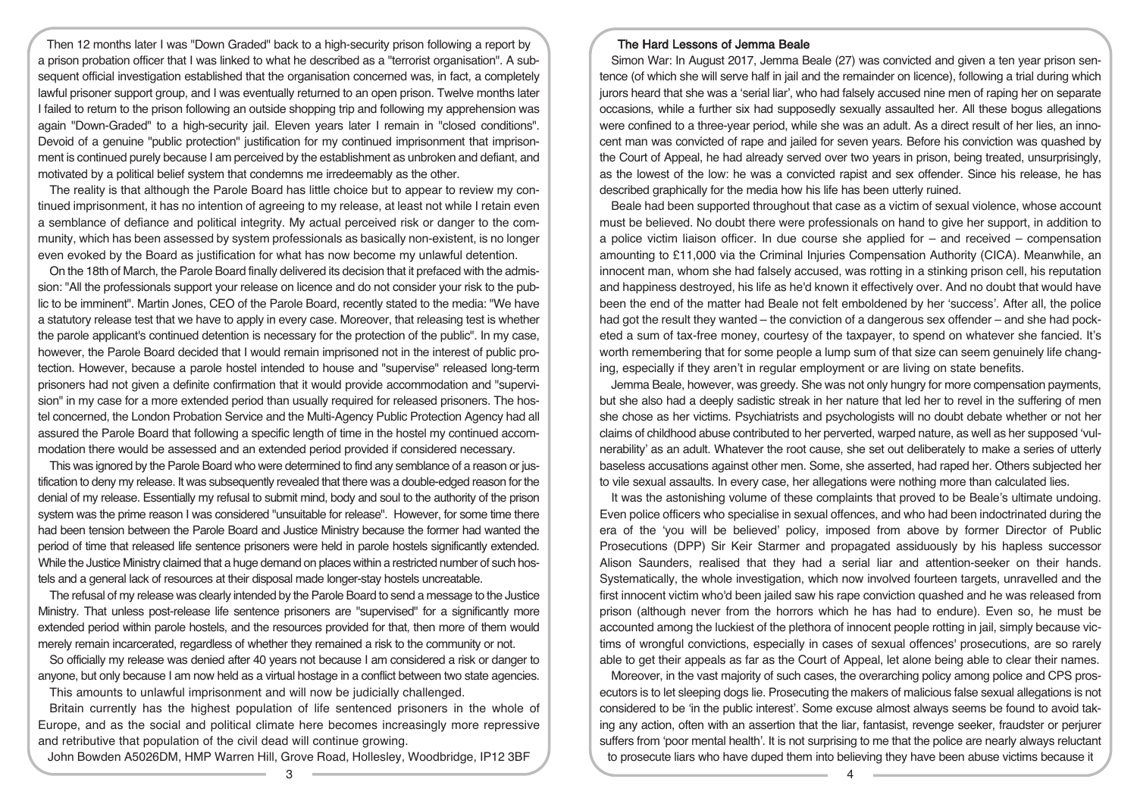Then 12 months later I was "Down Graded" back to a high-security prison following a report by a prison probation officer that I was linked to what he described as a "terrorist organisation". A subsequent official investigation established that the organisation concerned was, in fact, a completely lawful prisoner support group, and I was eventually returned to an open prison. Twelve months later I failed to return to the prison following an outside shopping trip and following my apprehension was again "Down-Graded" to a high-security jail. Eleven years later I remain in "closed conditions". Devoid of a genuine "public protection" justification for my continued imprisonment that imprisonment is continued purely because I am perceived by the establishment as unbroken and defiant, and motivated by a political belief system that condemns me irredeemably as the other.

The reality is that although the Parole Board has little choice but to appear to review my continued imprisonment, it has no intention of agreeing to my release, at least not while I retain even a semblance of defiance and political integrity. My actual perceived risk or danger to the community, which has been assessed by system professionals as basically non-existent, is no longer even evoked by the Board as justification for what has now become my unlawful detention.

On the 18th of March, the Parole Board finally delivered its decision that it prefaced with the admission: "All the professionals support your release on licence and do not consider your risk to the public to be imminent". Martin Jones, CEO of the Parole Board, recently stated to the media: "We have a statutory release test that we have to apply in every case. Moreover, that releasing test is whether the parole applicant's continued detention is necessary for the protection of the public". In my case, however, the Parole Board decided that I would remain imprisoned not in the interest of public protection. However, because a parole hostel intended to house and "supervise" released long-term prisoners had not given a definite confirmation that it would provide accommodation and "supervision" in my case for a more extended period than usually required for released prisoners. The hostel concerned, the London Probation Service and the Multi-Agency Public Protection Agency had all assured the Parole Board that following a specific length of time in the hostel my continued accommodation there would be assessed and an extended period provided if considered necessary.

This was ignored by the Parole Board who were determined to find any semblance of a reason or justification to deny my release. It was subsequently revealed that there was a double-edged reason for the denial of my release. Essentially my refusal to submit mind, body and soul to the authority of the prison system was the prime reason I was considered "unsuitable for release". However, for some time there had been tension between the Parole Board and Justice Ministry because the former had wanted the period of time that released life sentence prisoners were held in parole hostels significantly extended. While the Justice Ministry claimed that a huge demand on places within a restricted number of such hostels and a general lack of resources at their disposal made longer-stay hostels uncreatable.

The refusal of my release was clearly intended by the Parole Board to send a message to the Justice Ministry. That unless post-release life sentence prisoners are "supervised" for a significantly more extended period within parole hostels, and the resources provided for that, then more of them would merely remain incarcerated, regardless of whether they remained a risk to the community or not.

So officially my release was denied after 40 years not because I am considered a risk or danger to anyone, but only because I am now held as a virtual hostage in a conflict between two state agencies.

This amounts to unlawful imprisonment and will now be judicially challenged.

Britain currently has the highest population of life sentenced prisoners in the whole of Europe, and as the social and political climate here becomes increasingly more repressive and retributive that population of the civil dead will continue growing.

John Bowden A5026DM, HMP Warren Hill, Grove Road, Hollesley, Woodbridge, IP12 3BF

## The Hard Lessons of Jemma Beale

Simon War: In August 2017, Jemma Beale (27) was convicted and given a ten year prison sentence (of which she will serve half in jail and the remainder on licence), following a trial during which jurors heard that she was a 'serial liar', who had falsely accused nine men of raping her on separate occasions, while a further six had supposedly sexually assaulted her. All these bogus allegations were confined to a three-year period, while she was an adult. As a direct result of her lies, an innocent man was convicted of rape and jailed for seven years. Before his conviction was quashed by the Court of Appeal, he had already served over two years in prison, being treated, unsurprisingly, as the lowest of the low: he was a convicted rapist and sex offender. Since his release, he has described graphically for the media how his life has been utterly ruined.

Beale had been supported throughout that case as a victim of sexual violence, whose account must be believed. No doubt there were professionals on hand to give her support, in addition to a police victim liaison officer. In due course she applied for  $-$  and received  $-$  compensation amounting to £11,000 via the Criminal Injuries Compensation Authority (CICA). Meanwhile, an innocent man, whom she had falsely accused, was rotting in a stinking prison cell, his reputation and happiness destroyed, his life as he'd known it effectively over. And no doubt that would have been the end of the matter had Beale not felt emboldened by her 'success'. After all, the police had got the result they wanted – the conviction of a dangerous sex offender – and she had pocketed a sum of tax-free money, courtesy of the taxpayer, to spend on whatever she fancied. It's worth remembering that for some people a lump sum of that size can seem genuinely life changing, especially if they aren't in regular employment or are living on state benefits.

Jemma Beale, however, was greedy. She was not only hungry for more compensation payments, but she also had a deeply sadistic streak in her nature that led her to revel in the suffering of men she chose as her victims. Psychiatrists and psychologists will no doubt debate whether or not her claims of childhood abuse contributed to her perverted, warped nature, as well as her supposed 'vulnerability' as an adult. Whatever the root cause, she set out deliberately to make a series of utterly baseless accusations against other men. Some, she asserted, had raped her. Others subjected her to vile sexual assaults. In every case, her allegations were nothing more than calculated lies.

It was the astonishing volume of these complaints that proved to be Beale's ultimate undoing. Even police officers who specialise in sexual offences, and who had been indoctrinated during the era of the 'you will be believed' policy, imposed from above by former Director of Public Prosecutions (DPP) Sir Keir Starmer and propagated assiduously by his hapless successor Alison Saunders, realised that they had a serial liar and attention-seeker on their hands. Systematically, the whole investigation, which now involved fourteen targets, unravelled and the first innocent victim who'd been jailed saw his rape conviction quashed and he was released from prison (although never from the horrors which he has had to endure). Even so, he must be accounted among the luckiest of the plethora of innocent people rotting in jail, simply because victims of wrongful convictions, especially in cases of sexual offences' prosecutions, are so rarely able to get their appeals as far as the Court of Appeal, let alone being able to clear their names.

Moreover, in the vast majority of such cases, the overarching policy among police and CPS prosecutors is to let sleeping dogs lie. Prosecuting the makers of malicious false sexual allegations is not considered to be 'in the public interest'. Some excuse almost always seems be found to avoid taking any action, often with an assertion that the liar, fantasist, revenge seeker, fraudster or perjurer suffers from 'poor mental health'. It is not surprising to me that the police are nearly always reluctant to prosecute liars who have duped them into believing they have been abuse victims because it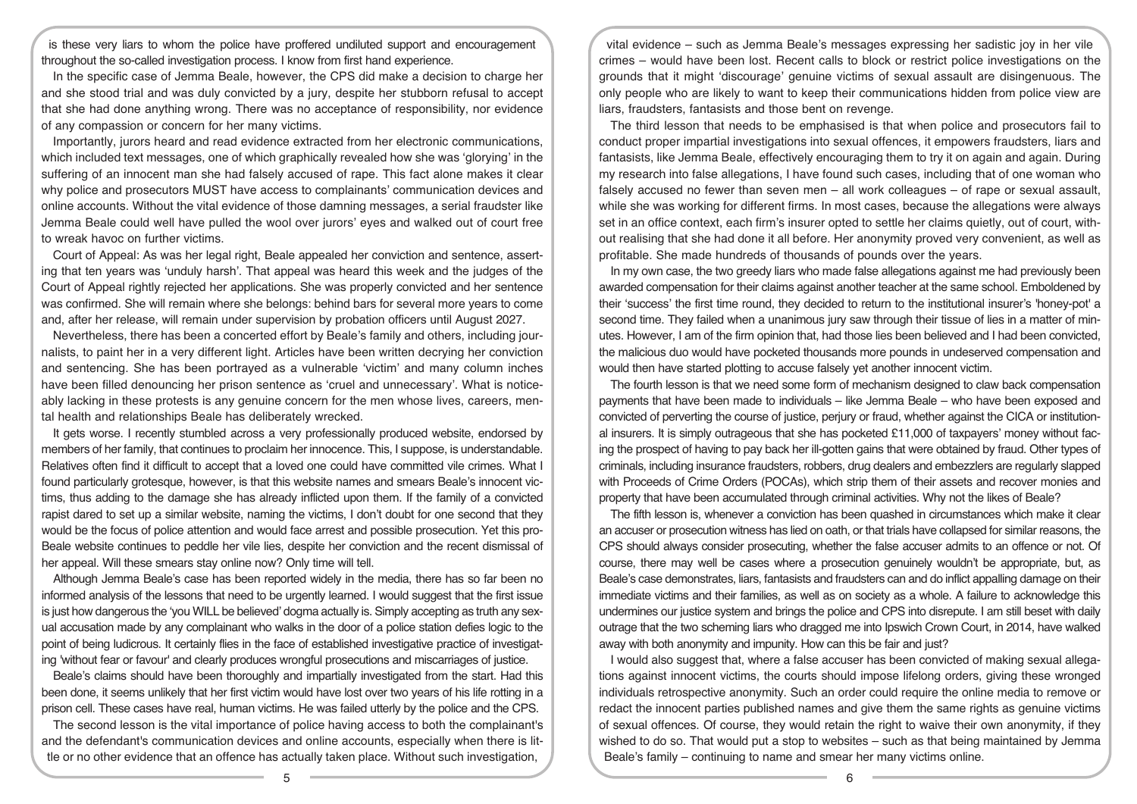is these very liars to whom the police have proffered undiluted support and encouragement throughout the so-called investigation process. I know from first hand experience.

In the specific case of Jemma Beale, however, the CPS did make a decision to charge her and she stood trial and was duly convicted by a jury, despite her stubborn refusal to accept that she had done anything wrong. There was no acceptance of responsibility, nor evidence of any compassion or concern for her many victims.

Importantly, jurors heard and read evidence extracted from her electronic communications, which included text messages, one of which graphically revealed how she was 'glorying' in the suffering of an innocent man she had falsely accused of rape. This fact alone makes it clear why police and prosecutors MUST have access to complainants' communication devices and online accounts. Without the vital evidence of those damning messages, a serial fraudster like Jemma Beale could well have pulled the wool over jurors' eyes and walked out of court free to wreak havoc on further victims.

Court of Appeal: As was her legal right, Beale appealed her conviction and sentence, asserting that ten years was 'unduly harsh'. That appeal was heard this week and the judges of the Court of Appeal rightly rejected her applications. She was properly convicted and her sentence was confirmed. She will remain where she belongs: behind bars for several more years to come and, after her release, will remain under supervision by probation officers until August 2027.

Nevertheless, there has been a concerted effort by Beale's family and others, including journalists, to paint her in a very different light. Articles have been written decrying her conviction and sentencing. She has been portrayed as a vulnerable 'victim' and many column inches have been filled denouncing her prison sentence as 'cruel and unnecessary'. What is noticeably lacking in these protests is any genuine concern for the men whose lives, careers, mental health and relationships Beale has deliberately wrecked.

It gets worse. I recently stumbled across a very professionally produced website, endorsed by members of her family, that continues to proclaim her innocence. This, I suppose, is understandable. Relatives often find it difficult to accept that a loved one could have committed vile crimes. What I found particularly grotesque, however, is that this website names and smears Beale's innocent victims, thus adding to the damage she has already inflicted upon them. If the family of a convicted rapist dared to set up a similar website, naming the victims, I don't doubt for one second that they would be the focus of police attention and would face arrest and possible prosecution. Yet this pro-Beale website continues to peddle her vile lies, despite her conviction and the recent dismissal of her appeal. Will these smears stay online now? Only time will tell.

Although Jemma Beale's case has been reported widely in the media, there has so far been no informed analysis of the lessons that need to be urgently learned. I would suggest that the first issue is just how dangerous the 'you WILL be believed' dogma actually is. Simply accepting as truth any sexual accusation made by any complainant who walks in the door of a police station defies logic to the point of being ludicrous. It certainly flies in the face of established investigative practice of investigating 'without fear or favour' and clearly produces wrongful prosecutions and miscarriages of justice.

Beale's claims should have been thoroughly and impartially investigated from the start. Had this been done, it seems unlikely that her first victim would have lost over two years of his life rotting in a prison cell. These cases have real, human victims. He was failed utterly by the police and the CPS.

The second lesson is the vital importance of police having access to both the complainant's and the defendant's communication devices and online accounts, especially when there is little or no other evidence that an offence has actually taken place. Without such investigation,

vital evidence – such as Jemma Beale's messages expressing her sadistic joy in her vile crimes – would have been lost. Recent calls to block or restrict police investigations on the grounds that it might 'discourage' genuine victims of sexual assault are disingenuous. The only people who are likely to want to keep their communications hidden from police view are liars, fraudsters, fantasists and those bent on revenge.

The third lesson that needs to be emphasised is that when police and prosecutors fail to conduct proper impartial investigations into sexual offences, it empowers fraudsters, liars and fantasists, like Jemma Beale, effectively encouraging them to try it on again and again. During my research into false allegations, I have found such cases, including that of one woman who falsely accused no fewer than seven men – all work colleagues – of rape or sexual assault, while she was working for different firms. In most cases, because the allegations were always set in an office context, each firm's insurer opted to settle her claims quietly, out of court, without realising that she had done it all before. Her anonymity proved very convenient, as well as profitable. She made hundreds of thousands of pounds over the years.

In my own case, the two greedy liars who made false allegations against me had previously been awarded compensation for their claims against another teacher at the same school. Emboldened by their 'success' the first time round, they decided to return to the institutional insurer's 'honey-pot' a second time. They failed when a unanimous jury saw through their tissue of lies in a matter of minutes. However, I am of the firm opinion that, had those lies been believed and I had been convicted, the malicious duo would have pocketed thousands more pounds in undeserved compensation and would then have started plotting to accuse falsely yet another innocent victim.

The fourth lesson is that we need some form of mechanism designed to claw back compensation payments that have been made to individuals – like Jemma Beale – who have been exposed and convicted of perverting the course of justice, perjury or fraud, whether against the CICA or institutional insurers. It is simply outrageous that she has pocketed £11,000 of taxpayers' money without facing the prospect of having to pay back her ill-gotten gains that were obtained by fraud. Other types of criminals, including insurance fraudsters, robbers, drug dealers and embezzlers are regularly slapped with Proceeds of Crime Orders (POCAs), which strip them of their assets and recover monies and property that have been accumulated through criminal activities. Why not the likes of Beale?

The fifth lesson is, whenever a conviction has been quashed in circumstances which make it clear an accuser or prosecution witness has lied on oath, or that trials have collapsed for similar reasons, the CPS should always consider prosecuting, whether the false accuser admits to an offence or not. Of course, there may well be cases where a prosecution genuinely wouldn't be appropriate, but, as Beale's case demonstrates, liars, fantasists and fraudsters can and do inflict appalling damage on their immediate victims and their families, as well as on society as a whole. A failure to acknowledge this undermines our justice system and brings the police and CPS into disrepute. I am still beset with daily outrage that the two scheming liars who dragged me into Ipswich Crown Court, in 2014, have walked away with both anonymity and impunity. How can this be fair and just?

I would also suggest that, where a false accuser has been convicted of making sexual allegations against innocent victims, the courts should impose lifelong orders, giving these wronged individuals retrospective anonymity. Such an order could require the online media to remove or redact the innocent parties published names and give them the same rights as genuine victims of sexual offences. Of course, they would retain the right to waive their own anonymity, if they wished to do so. That would put a stop to websites – such as that being maintained by Jemma Beale's family – continuing to name and smear her many victims online.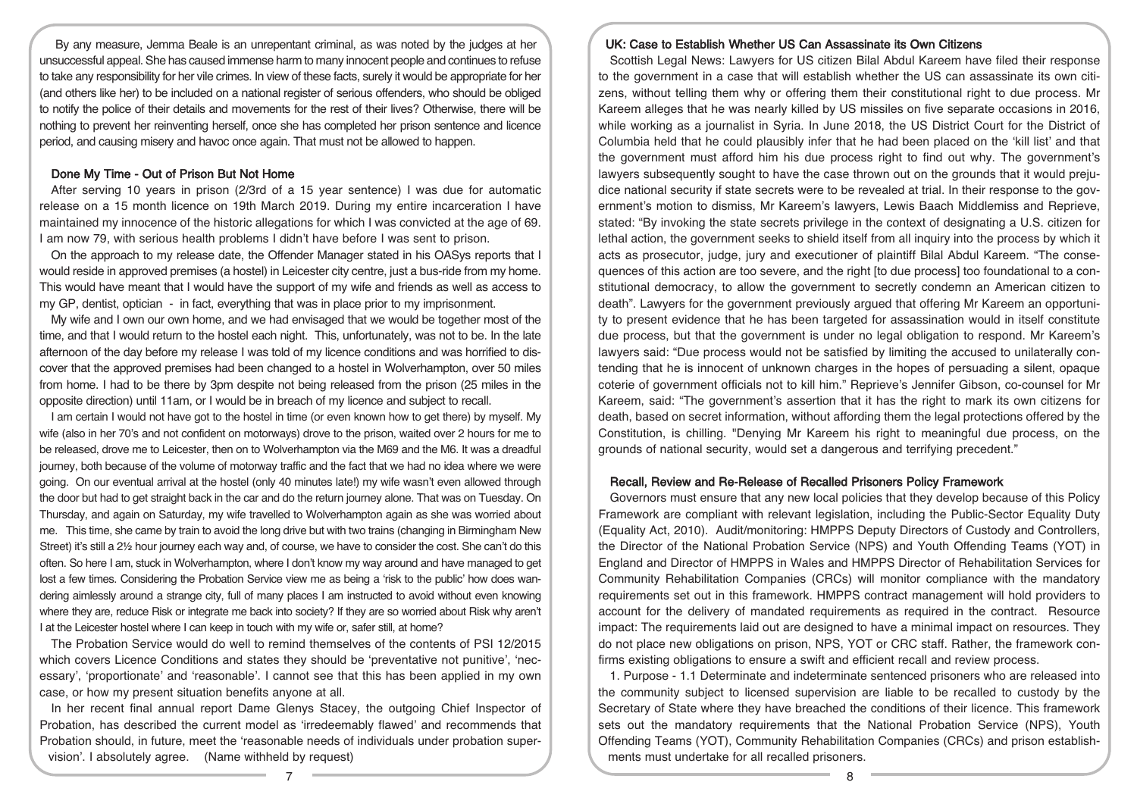By any measure, Jemma Beale is an unrepentant criminal, as was noted by the judges at her unsuccessful appeal.She has caused immense harm to many innocent people and continues to refuse to take any responsibility for her vile crimes. In view of these facts, surely it would be appropriate for her (and others like her) to be included on a national register of serious offenders, who should be obliged to notify the police of their details and movements for the rest of their lives? Otherwise, there will be nothing to prevent her reinventing herself, once she has completed her prison sentence and licence period, and causing misery and havoc once again. That must not be allowed to happen.

### Done My Time - Out of Prison But Not Home

After serving 10 years in prison (2/3rd of a 15 year sentence) I was due for automatic release on a 15 month licence on 19th March 2019. During my entire incarceration I have maintained my innocence of the historic allegations for which I was convicted at the age of 69. I am now 79, with serious health problems I didn't have before I was sent to prison.

On the approach to my release date, the Offender Manager stated in his OASys reports that I would reside in approved premises (a hostel) in Leicester city centre, just a bus-ride from my home. This would have meant that I would have the support of my wife and friends as well as access to my GP, dentist, optician - in fact, everything that was in place prior to my imprisonment.

My wife and I own our own home, and we had envisaged that we would be together most of the time, and that I would return to the hostel each night. This, unfortunately, was not to be. In the late afternoon of the day before my release I was told of my licence conditions and was horrified to discover that the approved premises had been changed to a hostel in Wolverhampton, over 50 miles from home. I had to be there by 3pm despite not being released from the prison (25 miles in the opposite direction) until 11am, or I would be in breach of my licence and subject to recall.

I am certain I would not have got to the hostel in time (or even known how to get there) by myself. My wife (also in her 70's and not confident on motorways) drove to the prison, waited over 2 hours for me to be released, drove me to Leicester, then on to Wolverhampton via the M69 and the M6. It was a dreadful journey, both because of the volume of motorway traffic and the fact that we had no idea where we were going. On our eventual arrival at the hostel (only 40 minutes late!) my wife wasn't even allowed through the door but had to get straight back in the car and do the return journey alone. That was on Tuesday. On Thursday, and again on Saturday, my wife travelled to Wolverhampton again as she was worried about me. This time, she came by train to avoid the long drive but with two trains (changing in Birmingham New Street) it's still a 2½ hour journey each way and, of course, we have to consider the cost. She can't do this often. So here I am, stuck in Wolverhampton, where I don't know my way around and have managed to get lost a few times. Considering the Probation Service view me as being a 'risk to the public' how does wandering aimlessly around a strange city, full of many places I am instructed to avoid without even knowing where they are, reduce Risk or integrate me back into society? If they are so worried about Risk why aren't I at the Leicester hostel where I can keep in touch with my wife or, safer still, at home?

The Probation Service would do well to remind themselves of the contents of PSI 12/2015 which covers Licence Conditions and states they should be 'preventative not punitive', 'necessary', 'proportionate' and 'reasonable'. I cannot see that this has been applied in my own case, or how my present situation benefits anyone at all.

In her recent final annual report Dame Glenys Stacey, the outgoing Chief Inspector of Probation, has described the current model as 'irredeemably flawed' and recommends that Probation should, in future, meet the 'reasonable needs of individuals under probation supervision'. I absolutely agree. (Name withheld by request)

## UK: Case to Establish Whether US Can Assassinate its Own Citizens

Scottish Legal News: Lawyers for US citizen Bilal Abdul Kareem have filed their response to the government in a case that will establish whether the US can assassinate its own citizens, without telling them why or offering them their constitutional right to due process. Mr Kareem alleges that he was nearly killed by US missiles on five separate occasions in 2016, while working as a journalist in Syria. In June 2018, the US District Court for the District of Columbia held that he could plausibly infer that he had been placed on the 'kill list' and that the government must afford him his due process right to find out why. The government's lawyers subsequently sought to have the case thrown out on the grounds that it would prejudice national security if state secrets were to be revealed at trial. In their response to the government's motion to dismiss, Mr Kareem's lawyers, Lewis Baach Middlemiss and Reprieve, stated: "By invoking the state secrets privilege in the context of designating a U.S. citizen for lethal action, the government seeks to shield itself from all inquiry into the process by which it acts as prosecutor, judge, jury and executioner of plaintiff Bilal Abdul Kareem. "The consequences of this action are too severe, and the right [to due process] too foundational to a constitutional democracy, to allow the government to secretly condemn an American citizen to death". Lawyers for the government previously argued that offering Mr Kareem an opportunity to present evidence that he has been targeted for assassination would in itself constitute due process, but that the government is under no legal obligation to respond. Mr Kareem's lawyers said: "Due process would not be satisfied by limiting the accused to unilaterally contending that he is innocent of unknown charges in the hopes of persuading a silent, opaque coterie of government officials not to kill him." Reprieve's Jennifer Gibson, co-counsel for Mr Kareem, said: "The government's assertion that it has the right to mark its own citizens for death, based on secret information, without affording them the legal protections offered by the Constitution, is chilling. "Denying Mr Kareem his right to meaningful due process, on the grounds of national security, would set a dangerous and terrifying precedent."

#### Recall, Review and Re-Release of Recalled Prisoners Policy Framework

Governors must ensure that any new local policies that they develop because of this Policy Framework are compliant with relevant legislation, including the Public-Sector Equality Duty (Equality Act, 2010). Audit/monitoring: HMPPS Deputy Directors of Custody and Controllers, the Director of the National Probation Service (NPS) and Youth Offending Teams (YOT) in England and Director of HMPPS in Wales and HMPPS Director of Rehabilitation Services for Community Rehabilitation Companies (CRCs) will monitor compliance with the mandatory requirements set out in this framework. HMPPS contract management will hold providers to account for the delivery of mandated requirements as required in the contract. Resource impact: The requirements laid out are designed to have a minimal impact on resources. They do not place new obligations on prison, NPS, YOT or CRC staff. Rather, the framework confirms existing obligations to ensure a swift and efficient recall and review process.

1. Purpose - 1.1 Determinate and indeterminate sentenced prisoners who are released into the community subject to licensed supervision are liable to be recalled to custody by the Secretary of State where they have breached the conditions of their licence. This framework sets out the mandatory requirements that the National Probation Service (NPS), Youth Offending Teams (YOT), Community Rehabilitation Companies (CRCs) and prison establishments must undertake for all recalled prisoners.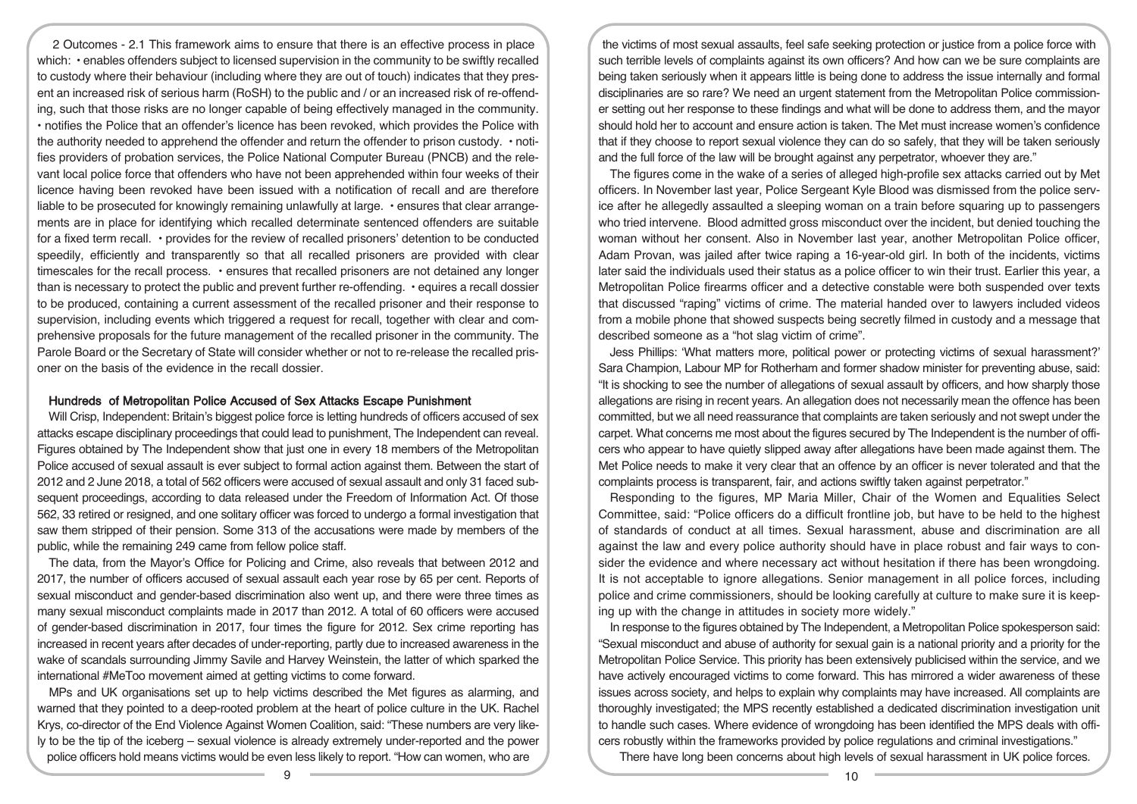2 Outcomes - 2.1 This framework aims to ensure that there is an effective process in place which: • enables offenders subject to licensed supervision in the community to be swiftly recalled to custody where their behaviour (including where they are out of touch) indicates that they present an increased risk of serious harm (RoSH) to the public and / or an increased risk of re-offending, such that those risks are no longer capable of being effectively managed in the community. • notifies the Police that an offender's licence has been revoked, which provides the Police with the authority needed to apprehend the offender and return the offender to prison custody. • notifies providers of probation services, the Police National Computer Bureau (PNCB) and the relevant local police force that offenders who have not been apprehended within four weeks of their licence having been revoked have been issued with a notification of recall and are therefore liable to be prosecuted for knowingly remaining unlawfully at large. • ensures that clear arrangements are in place for identifying which recalled determinate sentenced offenders are suitable for a fixed term recall. • provides for the review of recalled prisoners' detention to be conducted speedily, efficiently and transparently so that all recalled prisoners are provided with clear timescales for the recall process. • ensures that recalled prisoners are not detained any longer than is necessary to protect the public and prevent further re-offending. • equires a recall dossier to be produced, containing a current assessment of the recalled prisoner and their response to supervision, including events which triggered a request for recall, together with clear and comprehensive proposals for the future management of the recalled prisoner in the community. The Parole Board or the Secretary of State will consider whether or not to re-release the recalled prisoner on the basis of the evidence in the recall dossier.

#### Hundreds of Metropolitan Police Accused of Sex Attacks Escape Punishment

Will Crisp, Independent: Britain's biggest police force is letting hundreds of officers accused of sex attacks escape disciplinary proceedings that could lead to punishment, The Independent can reveal. Figures obtained by The Independent show that just one in every 18 members of the Metropolitan Police accused of sexual assault is ever subject to formal action against them. Between the start of 2012 and 2 June 2018, a total of 562 officers were accused of sexual assault and only 31 faced subsequent proceedings, according to data released under the Freedom of Information Act. Of those 562, 33 retired or resigned, and one solitary officer was forced to undergo a formal investigation that saw them stripped of their pension. Some 313 of the accusations were made by members of the public, while the remaining 249 came from fellow police staff.

The data, from the Mayor's Office for Policing and Crime, also reveals that between 2012 and 2017, the number of officers accused of sexual assault each year rose by 65 per cent. Reports of sexual misconduct and gender-based discrimination also went up, and there were three times as many sexual misconduct complaints made in 2017 than 2012. A total of 60 officers were accused of gender-based discrimination in 2017, four times the figure for 2012. Sex crime reporting has increased in recent years after decades of under-reporting, partly due to increased awareness in the wake of scandals surrounding Jimmy Savile and Harvey Weinstein, the latter of which sparked the international #MeToo movement aimed at getting victims to come forward.

MPs and UK organisations set up to help victims described the Met figures as alarming, and warned that they pointed to a deep-rooted problem at the heart of police culture in the UK. Rachel Krys, co-director of the End Violence Against Women Coalition, said: "These numbers are very likely to be the tip of the iceberg – sexual violence is already extremely under-reported and the power police officers hold means victims would be even less likely to report. "How can women, who are

the victims of most sexual assaults, feel safe seeking protection or justice from a police force with such terrible levels of complaints against its own officers? And how can we be sure complaints are being taken seriously when it appears little is being done to address the issue internally and formal disciplinaries are so rare? We need an urgent statement from the Metropolitan Police commissioner setting out her response to these findings and what will be done to address them, and the mayor should hold her to account and ensure action is taken. The Met must increase women's confidence that if they choose to report sexual violence they can do so safely, that they will be taken seriously and the full force of the law will be brought against any perpetrator, whoever they are."

The figures come in the wake of a series of alleged high-profile sex attacks carried out by Met officers. In November last year, Police Sergeant Kyle Blood was dismissed from the police service after he allegedly assaulted a sleeping woman on a train before squaring up to passengers who tried intervene. Blood admitted gross misconduct over the incident, but denied touching the woman without her consent. Also in November last year, another Metropolitan Police officer, Adam Provan, was jailed after twice raping a 16-year-old girl. In both of the incidents, victims later said the individuals used their status as a police officer to win their trust. Earlier this year, a Metropolitan Police firearms officer and a detective constable were both suspended over texts that discussed "raping" victims of crime. The material handed over to lawyers included videos from a mobile phone that showed suspects being secretly filmed in custody and a message that described someone as a "hot slag victim of crime".

Jess Phillips: 'What matters more, political power or protecting victims of sexual harassment?' Sara Champion, Labour MP for Rotherham and former shadow minister for preventing abuse, said: "It is shocking to see the number of allegations of sexual assault by officers, and how sharply those allegations are rising in recent years. An allegation does not necessarily mean the offence has been committed, but we all need reassurance that complaints are taken seriously and not swept under the carpet. What concerns me most about the figures secured by The Independent is the number of officers who appear to have quietly slipped away after allegations have been made against them. The Met Police needs to make it very clear that an offence by an officer is never tolerated and that the complaints process is transparent, fair, and actions swiftly taken against perpetrator."

Responding to the figures, MP Maria Miller, Chair of the Women and Equalities Select Committee, said: "Police officers do a difficult frontline job, but have to be held to the highest of standards of conduct at all times. Sexual harassment, abuse and discrimination are all against the law and every police authority should have in place robust and fair ways to consider the evidence and where necessary act without hesitation if there has been wrongdoing. It is not acceptable to ignore allegations. Senior management in all police forces, including police and crime commissioners, should be looking carefully at culture to make sure it is keeping up with the change in attitudes in society more widely."

In response to the figures obtained by The Independent, a Metropolitan Police spokesperson said: "Sexual misconduct and abuse of authority for sexual gain is a national priority and a priority for the Metropolitan Police Service. This priority has been extensively publicised within the service, and we have actively encouraged victims to come forward. This has mirrored a wider awareness of these issues across society, and helps to explain why complaints may have increased. All complaints are thoroughly investigated; the MPS recently established a dedicated discrimination investigation unit to handle such cases. Where evidence of wrongdoing has been identified the MPS deals with officers robustly within the frameworks provided by police regulations and criminal investigations."

There have long been concerns about high levels of sexual harassment in UK police forces.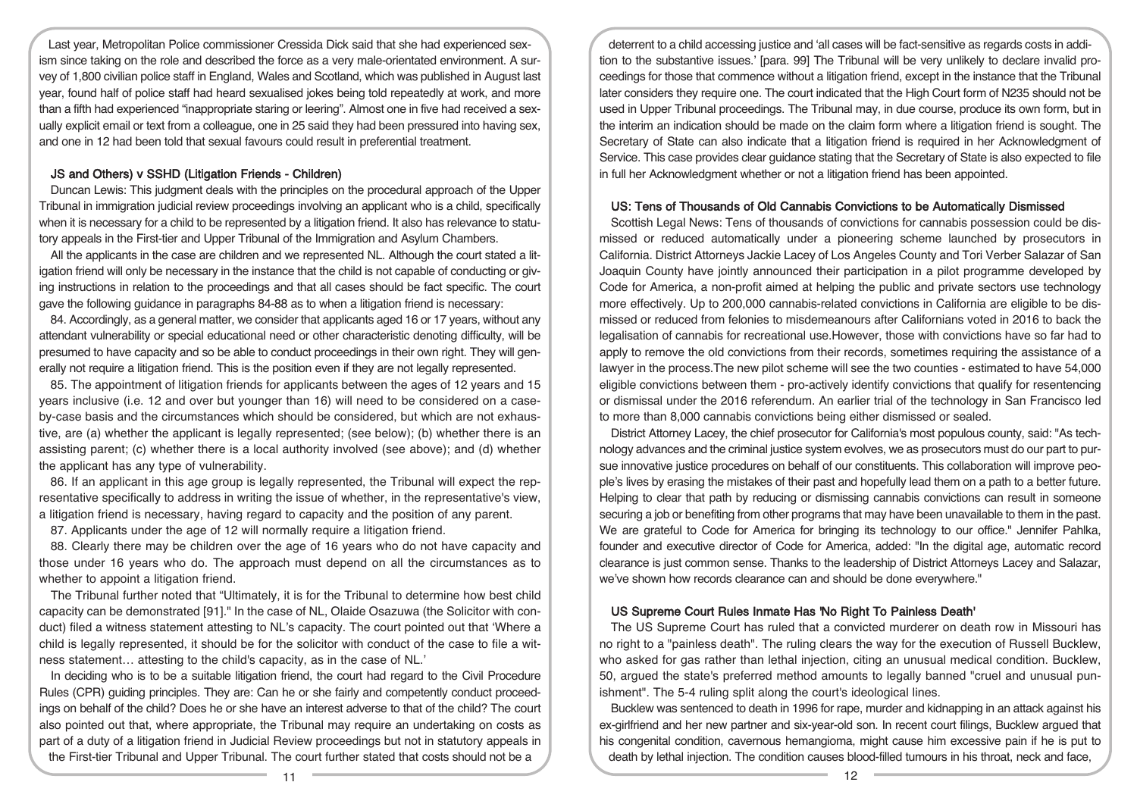Last year, Metropolitan Police commissioner Cressida Dick said that she had experienced sexism since taking on the role and described the force as a very male-orientated environment. A survey of 1,800 civilian police staff in England, Wales and Scotland, which was published in August last year, found half of police staff had heard sexualised jokes being told repeatedly at work, and more than a fifth had experienced "inappropriate staring or leering". Almost one in five had received a sexually explicit email or text from a colleague, one in 25 said they had been pressured into having sex, and one in 12 had been told that sexual favours could result in preferential treatment.

## JS and Others) v SSHD (Litigation Friends - Children)

Duncan Lewis: This judgment deals with the principles on the procedural approach of the Upper Tribunal in immigration judicial review proceedings involving an applicant who is a child, specifically when it is necessary for a child to be represented by a litigation friend. It also has relevance to statutory appeals in the First-tier and Upper Tribunal of the Immigration and Asylum Chambers.

All the applicants in the case are children and we represented NL. Although the court stated a litigation friend will only be necessary in the instance that the child is not capable of conducting or giving instructions in relation to the proceedings and that all cases should be fact specific. The court gave the following guidance in paragraphs 84-88 as to when a litigation friend is necessary:

84. Accordingly, as a general matter, we consider that applicants aged 16 or 17 years, without any attendant vulnerability or special educational need or other characteristic denoting difficulty, will be presumed to have capacity and so be able to conduct proceedings in their own right. They will generally not require a litigation friend. This is the position even if they are not legally represented.

85. The appointment of litigation friends for applicants between the ages of 12 years and 15 years inclusive (i.e. 12 and over but younger than 16) will need to be considered on a caseby-case basis and the circumstances which should be considered, but which are not exhaustive, are (a) whether the applicant is legally represented; (see below); (b) whether there is an assisting parent; (c) whether there is a local authority involved (see above); and (d) whether the applicant has any type of vulnerability.

86. If an applicant in this age group is legally represented, the Tribunal will expect the representative specifically to address in writing the issue of whether, in the representative's view, a litigation friend is necessary, having regard to capacity and the position of any parent.

87. Applicants under the age of 12 will normally require a litigation friend.

88. Clearly there may be children over the age of 16 years who do not have capacity and those under 16 years who do. The approach must depend on all the circumstances as to whether to appoint a litigation friend.

The Tribunal further noted that "Ultimately, it is for the Tribunal to determine how best child capacity can be demonstrated [91]." In the case of NL, Olaide Osazuwa (the Solicitor with conduct) filed a witness statement attesting to NL's capacity. The court pointed out that 'Where a child is legally represented, it should be for the solicitor with conduct of the case to file a witness statement… attesting to the child's capacity, as in the case of NL.'

In deciding who is to be a suitable litigation friend, the court had regard to the Civil Procedure Rules (CPR) guiding principles. They are: Can he or she fairly and competently conduct proceedings on behalf of the child? Does he or she have an interest adverse to that of the child? The court also pointed out that, where appropriate, the Tribunal may require an undertaking on costs as part of a duty of a litigation friend in Judicial Review proceedings but not in statutory appeals in the First-tier Tribunal and Upper Tribunal. The court further stated that costs should not be a

deterrent to a child accessing justice and 'all cases will be fact-sensitive as regards costs in addition to the substantive issues.' [para. 99] The Tribunal will be very unlikely to declare invalid proceedings for those that commence without a litigation friend, except in the instance that the Tribunal later considers they require one. The court indicated that the High Court form of N235 should not be used in Upper Tribunal proceedings. The Tribunal may, in due course, produce its own form, but in the interim an indication should be made on the claim form where a litigation friend is sought. The Secretary of State can also indicate that a litigation friend is required in her Acknowledgment of Service. This case provides clear guidance stating that the Secretary of State is also expected to file in full her Acknowledgment whether or not a litigation friend has been appointed.

#### US: Tens of Thousands of Old Cannabis Convictions to be Automatically Dismissed

Scottish Legal News: Tens of thousands of convictions for cannabis possession could be dismissed or reduced automatically under a pioneering scheme launched by prosecutors in California. District Attorneys Jackie Lacey of Los Angeles County and Tori Verber Salazar of San Joaquin County have jointly announced their participation in a pilot programme developed by Code for America, a non-profit aimed at helping the public and private sectors use technology more effectively. Up to 200,000 cannabis-related convictions in California are eligible to be dismissed or reduced from felonies to misdemeanours after Californians voted in 2016 to back the legalisation of cannabis for recreational use.However, those with convictions have so far had to apply to remove the old convictions from their records, sometimes requiring the assistance of a lawyer in the process.The new pilot scheme will see the two counties - estimated to have 54,000 eligible convictions between them - pro-actively identify convictions that qualify for resentencing or dismissal under the 2016 referendum. An earlier trial of the technology in San Francisco led to more than 8,000 cannabis convictions being either dismissed or sealed.

District Attorney Lacey, the chief prosecutor for California's most populous county, said: "As technology advances and the criminal justice system evolves, we as prosecutors must do our part to pursue innovative justice procedures on behalf of our constituents. This collaboration will improve people's lives by erasing the mistakes of their past and hopefully lead them on a path to a better future. Helping to clear that path by reducing or dismissing cannabis convictions can result in someone securing a job or benefiting from other programs that may have been unavailable to them in the past. We are grateful to Code for America for bringing its technology to our office." Jennifer Pahlka, founder and executive director of Code for America, added: "In the digital age, automatic record clearance is just common sense. Thanks to the leadership of District Attorneys Lacey and Salazar, we've shown how records clearance can and should be done everywhere."

## US Supreme Court Rules Inmate Has 'No Right To Painless Death'

The US Supreme Court has ruled that a convicted murderer on death row in Missouri has no right to a "painless death". The ruling clears the way for the execution of Russell Bucklew, who asked for gas rather than lethal injection, citing an unusual medical condition. Bucklew, 50, argued the state's preferred method amounts to legally banned "cruel and unusual punishment". The 5-4 ruling split along the court's ideological lines.

Bucklew was sentenced to death in 1996 for rape, murder and kidnapping in an attack against his ex-girlfriend and her new partner and six-year-old son. In recent court filings, Bucklew argued that his congenital condition, cavernous hemangioma, might cause him excessive pain if he is put to death by lethal injection. The condition causes blood-filled tumours in his throat, neck and face,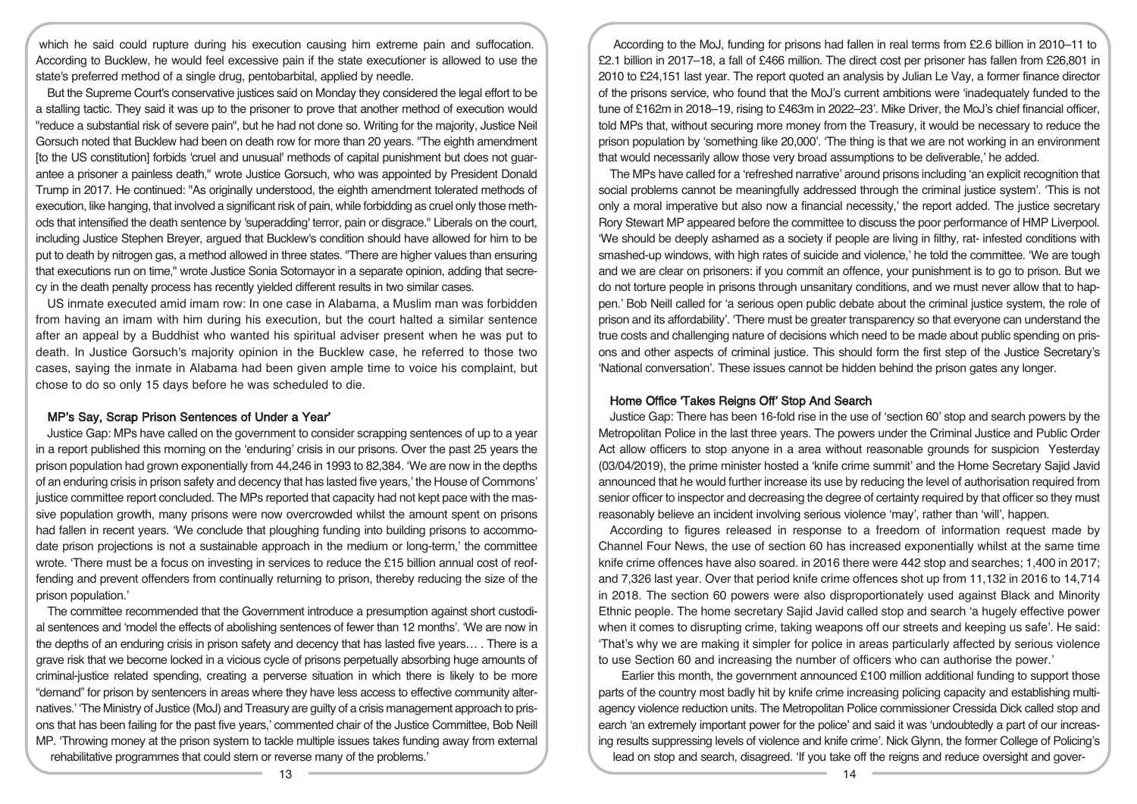which he said could rupture during his execution causing him extreme pain and suffocation. According to Bucklew, he would feel excessive pain if the state executioner is allowed to use the state's preferred method of a single drug, pentobarbital, applied by needle.

But the Supreme Court's conservative justices said on Monday they considered the legal effort to be a stalling tactic. They said it was up to the prisoner to prove that another method of execution would "reduce a substantial risk of severe pain", but he had not done so. Writing for the majority, Justice Neil Gorsuch noted that Bucklew had been on death row for more than 20 years. "The eighth amendment [to the US constitution] forbids 'cruel and unusual' methods of capital punishment but does not guarantee a prisoner a painless death," wrote Justice Gorsuch, who was appointed by President Donald Trump in 2017. He continued: "As originally understood, the eighth amendment tolerated methods of execution, like hanging, that involved a significant risk of pain, while forbidding as cruel only those methods that intensified the death sentence by 'superadding' terror, pain or disgrace." Liberals on the court, including Justice Stephen Breyer, argued that Bucklew's condition should have allowed for him to be put to death by nitrogen gas, a method allowed in three states. "There are higher values than ensuring that executions run on time," wrote Justice Sonia Sotomayor in a separate opinion, adding that secrecy in the death penalty process has recently yielded different results in two similar cases.

US inmate executed amid imam row: In one case in Alabama, a Muslim man was forbidden from having an imam with him during his execution, but the court halted a similar sentence after an appeal by a Buddhist who wanted his spiritual adviser present when he was put to death. In Justice Gorsuch's majority opinion in the Bucklew case, he referred to those two cases, saying the inmate in Alabama had been given ample time to voice his complaint, but chose to do so only 15 days before he was scheduled to die.

## MP's Say, Scrap Prison Sentences of Under a Year'

Justice Gap: MPs have called on the government to consider scrapping sentences of up to a year in a report published this morning on the 'enduring' crisis in our prisons. Over the past 25 years the prison population had grown exponentially from 44,246 in 1993 to 82,384. 'We are now in the depths of an enduring crisis in prison safety and decency that has lasted five years,' the House of Commons' justice committee report concluded. The MPs reported that capacity had not kept pace with the massive population growth, many prisons were now overcrowded whilst the amount spent on prisons had fallen in recent years. 'We conclude that ploughing funding into building prisons to accommodate prison projections is not a sustainable approach in the medium or long-term,' the committee wrote. 'There must be a focus on investing in services to reduce the £15 billion annual cost of reoffending and prevent offenders from continually returning to prison, thereby reducing the size of the prison population.'

The committee recommended that the Government introduce a presumption against short custodial sentences and 'model the effects of abolishing sentences of fewer than 12 months'. 'We are now in the depths of an enduring crisis in prison safety and decency that has lasted five years… . There is a grave risk that we become locked in a vicious cycle of prisons perpetually absorbing huge amounts of criminal-justice related spending, creating a perverse situation in which there is likely to be more "demand" for prison by sentencers in areas where they have less access to effective community alternatives.' 'The Ministry of Justice (MoJ) and Treasury are guilty of a crisis management approach to prisons that has been failing for the past five years,' commented chair of the Justice Committee, Bob Neill MP. 'Throwing money at the prison system to tackle multiple issues takes funding away from external rehabilitative programmes that could stem or reverse many of the problems.'

According to the MoJ, funding for prisons had fallen in real terms from £2.6 billion in 2010–11 to £2.1 billion in 2017–18, a fall of £466 million. The direct cost per prisoner has fallen from £26,801 in 2010 to £24,151 last year. The report quoted an analysis by Julian Le Vay, a former finance director of the prisons service, who found that the MoJ's current ambitions were 'inadequately funded to the tune of £162m in 2018–19, rising to £463m in 2022–23'. Mike Driver, the MoJ's chief financial officer, told MPs that, without securing more money from the Treasury, it would be necessary to reduce the prison population by 'something like 20,000'. 'The thing is that we are not working in an environment that would necessarily allow those very broad assumptions to be deliverable,' he added.

The MPs have called for a 'refreshed narrative' around prisons including 'an explicit recognition that social problems cannot be meaningfully addressed through the criminal justice system'. 'This is not only a moral imperative but also now a financial necessity,' the report added. The justice secretary Rory Stewart MP appeared before the committee to discuss the poor performance of HMP Liverpool. 'We should be deeply ashamed as a society if people are living in filthy, rat- infested conditions with smashed-up windows, with high rates of suicide and violence,' he told the committee. 'We are tough and we are clear on prisoners: if you commit an offence, your punishment is to go to prison. But we do not torture people in prisons through unsanitary conditions, and we must never allow that to happen.' Bob Neill called for 'a serious open public debate about the criminal justice system, the role of prison and its affordability'. 'There must be greater transparency so that everyone can understand the true costs and challenging nature of decisions which need to be made about public spending on prisons and other aspects of criminal justice. This should form the first step of the Justice Secretary's 'National conversation'. These issues cannot be hidden behind the prison gates any longer.

### Home Office 'Takes Reigns Off' Stop And Search

Justice Gap: There has been 16-fold rise in the use of 'section 60' stop and search powers by the Metropolitan Police in the last three years. The powers under the Criminal Justice and Public Order Act allow officers to stop anyone in a area without reasonable grounds for suspicion Yesterday (03/04/2019), the prime minister hosted a 'knife crime summit' and the Home Secretary Sajid Javid announced that he would further increase its use by reducing the level of authorisation required from senior officer to inspector and decreasing the degree of certainty required by that officer so they must reasonably believe an incident involving serious violence 'may', rather than 'will', happen.

According to figures released in response to a freedom of information request made by Channel Four News, the use of section 60 has increased exponentially whilst at the same time knife crime offences have also soared. in 2016 there were 442 stop and searches; 1,400 in 2017; and 7,326 last year. Over that period knife crime offences shot up from 11,132 in 2016 to 14,714 in 2018. The section 60 powers were also disproportionately used against Black and Minority Ethnic people. The home secretary Sajid Javid called stop and search 'a hugely effective power when it comes to disrupting crime, taking weapons off our streets and keeping us safe'. He said: 'That's why we are making it simpler for police in areas particularly affected by serious violence to use Section 60 and increasing the number of officers who can authorise the power.'

Earlier this month, the government announced £100 million additional funding to support those parts of the country most badly hit by knife crime increasing policing capacity and establishing multiagency violence reduction units. The Metropolitan Police commissioner Cressida Dick called stop and earch 'an extremely important power for the police' and said it was 'undoubtedly a part of our increasing results suppressing levels of violence and knife crime'. Nick Glynn, the former College of Policing's lead on stop and search, disagreed. 'If you take off the reigns and reduce oversight and gover-